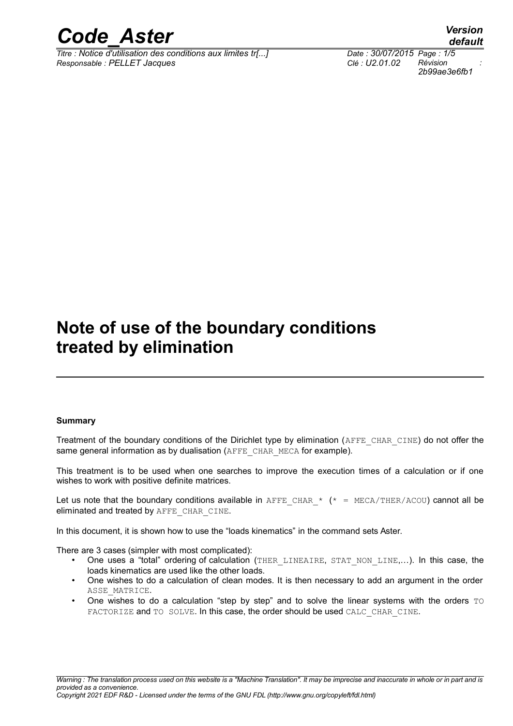

*Titre : Notice d'utilisation des conditions aux limites tr[...] Date : 30/07/2015 Page : 1/5 Responsable : PELLET Jacques Clé : U2.01.02 Révision :*

## **Note of use of the boundary conditions treated by elimination**

#### **Summary**

Treatment of the boundary conditions of the Dirichlet type by elimination (AFFE\_CHAR\_CINE) do not offer the same general information as by dualisation (AFFE\_CHAR\_MECA for example).

This treatment is to be used when one searches to improve the execution times of a calculation or if one wishes to work with positive definite matrices.

Let us note that the boundary conditions available in AFFE CHAR  $*$  ( $*$  = MECA/THER/ACOU) cannot all be eliminated and treated by AFFE\_CHAR\_CINE.

In this document, it is shown how to use the "loads kinematics" in the command sets Aster.

There are 3 cases (simpler with most complicated):

- One uses a "total" ordering of calculation (THER LINEAIRE, STAT NON LINE,...). In this case, the loads kinematics are used like the other loads.
- One wishes to do a calculation of clean modes. It is then necessary to add an argument in the order ASSE\_MATRICE.
- One wishes to do a calculation "step by step" and to solve the linear systems with the orders  $\text{TO}$ FACTORIZE and TO SOLVE. In this case, the order should be used CALC\_CHAR\_CINE.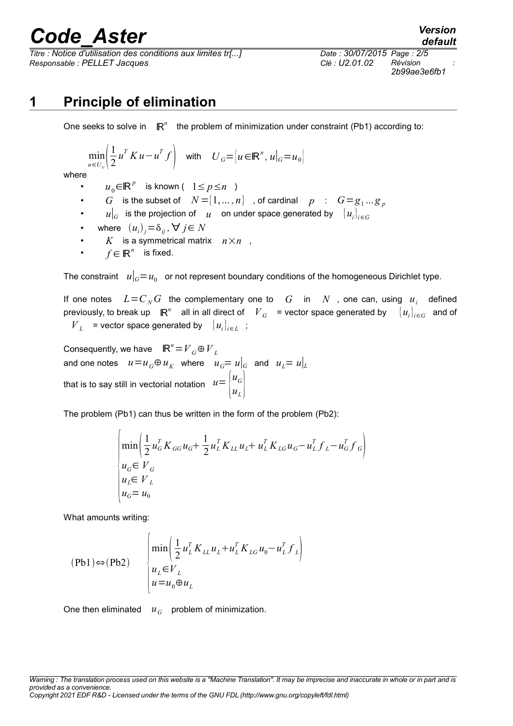# *Code\_Aster Version*

*Titre : Notice d'utilisation des conditions aux limites tr[...] Date : 30/07/2015 Page : 2/5 Responsable : PELLET Jacques Clé : U2.01.02 Révision :*

*2b99ae3e6fb1*

## **1 Principle of elimination**

One seeks to solve in  $\mathbb{R}^n$  the problem of minimization under constraint (Pb1) according to:

$$
\min_{u \in U_G} \left( \frac{1}{2} u^T K u - u^T f \right) \quad \text{with} \quad U_G = \left[ u \in \mathbb{R}^n, u \right]_G = u_0
$$

where

- $u_0 \in \mathbb{R}^p$  is known (  $1 \le p \le n$  )
- $G$  is the subset of  $N = \{1, \ldots, n\}$  , of cardinal  $p$  :  $G = g_1 ... g_p$
- $u|_G$  is the projection of  $u$  on under space generated by  $\{u_i\}_{i\in G}$
- where  $(u_i)_j = \delta_{ij}$ ,  $\forall j \in N$
- *K* is a symmetrical matrix  $n \times n$ ,
- $f \in \mathbb{R}^n$  is fixed.

The constraint  $\|u\|_G = u_0\|$  or not represent boundary conditions of the homogeneous Dirichlet type.

If one notes  $L = C_N G$  the complementary one to  $|G|$  in  $|N|$ , one can, using  $|u_i|$  defined previously, to break up  $\mathbb{R}^n$  all in all direct of  $\left. V_{\overline{G}}\right.$  = vector space generated by  $\left.\right.\left.\left.\left\{ u_i\right\}_{i\in G}\right.\right.$  and of  $V_L$  = vector space generated by  ${u_i}_{i \in L}$ ;

Consequently, we have  $\mathbb{R}^n = V_G \oplus V_L$ and one notes  $u = u_G \oplus u_K$  where  $u_G = u|_G$  and  $u_I = u|_L$ that is to say still in vectorial notation  $\displaystyle u \!=\! \begin{vmatrix} u_G \ u_G \end{vmatrix}$  $u_L$  }

The problem (Pb1) can thus be written in the form of the problem (Pb2):

$$
\begin{cases}\n\min\left(\frac{1}{2}u_G^T K_{GG} u_G + \frac{1}{2}u_L^T K_{LL} u_L + u_L^T K_{LG} u_G - u_L^T f_L - u_G^T f_G\right) \\
u_G \in V_G \\
u_L \in V_L \\
u_G = u_0\n\end{cases}
$$

What amounts writing:

$$
(Pb1) \Leftrightarrow (Pb2) \qquad \begin{cases} \min\left(\frac{1}{2}u_L^T K_{LL} u_L + u_L^T K_{LG} u_0 - u_L^T f_L\right) \\ u_L \in V_L \\ u = u_0 \oplus u_L \end{cases}
$$

One then eliminated  $u_G$  problem of minimization.

*Warning : The translation process used on this website is a "Machine Translation". It may be imprecise and inaccurate in whole or in part and is provided as a convenience.*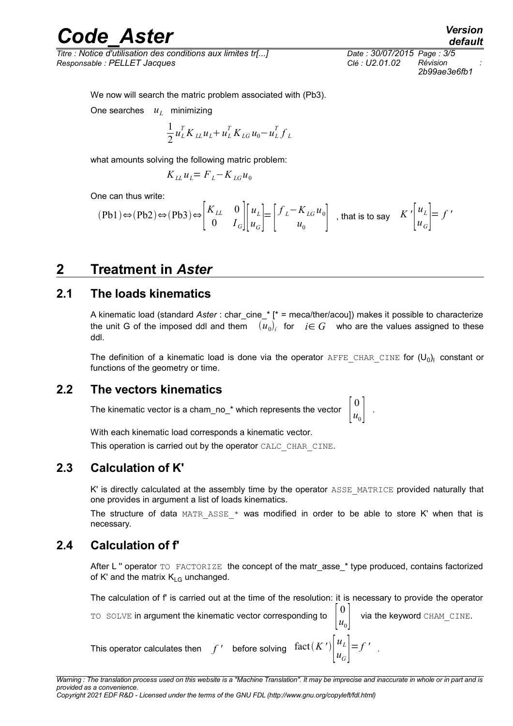# *Code\_Aster Version*

*Titre : Notice d'utilisation des conditions aux limites tr[...] Date : 30/07/2015 Page : 3/5 Responsable : PELLET Jacques Clé : U2.01.02 Révision :*

*2b99ae3e6fb1*

*default*

We now will search the matric problem associated with (Pb3).

One searches *u<sup>L</sup>* minimizing

$$
\frac{1}{2}u_{L}^{T}K_{LL}u_{L}+u_{L}^{T}K_{LG}u_{0}-u_{L}^{T}f_{L}
$$

what amounts solving the following matric problem:

$$
K_{LL}u_L = F_L - K_{LG}u_0
$$

One can thus write:

$$
(Pb1) \Leftrightarrow (Pb2) \Leftrightarrow (Pb3) \Leftrightarrow \begin{bmatrix} K_{LL} & 0 \\ 0 & I_G \end{bmatrix} \begin{bmatrix} u_L \\ u_G \end{bmatrix} = \begin{bmatrix} f_L - K_{LG} u_0 \\ u_0 \end{bmatrix} \text{ , that is to say } K' \begin{bmatrix} u_L \\ u_G \end{bmatrix} = f'
$$

### **2 Treatment in** *Aster*

#### **2.1 The loads kinematics**

A kinematic load (standard *Aster* : char\_cine\_\* [\* = meca/ther/acou]) makes it possible to characterize the unit G of the imposed ddl and them  $(u_0)_i$  for  $i \in G$  who are the values assigned to these ddl.

The definition of a kinematic load is done via the operator  $\text{AFFE}\_\text{CHAR}\_\text{CINE}$  for  $(\mathsf{U}_0)_\text{l}$  constant or functions of the geometry or time.

#### **2.2 The vectors kinematics**

The kinematic vector is a cham\_no\_\* which represents the vector 0  $u_0$  |

With each kinematic load corresponds a kinematic vector. This operation is carried out by the operator CALC\_CHAR\_CINE.

#### **2.3 Calculation of K'**

K' is directly calculated at the assembly time by the operator ASSE\_MATRICE provided naturally that one provides in argument a list of loads kinematics.

The structure of data MATR ASSE  $*$  was modified in order to be able to store K' when that is necessary.

#### **2.4 Calculation of f'**

After L " operator TO FACTORIZE the concept of the matr asse \* type produced, contains factorized of K' and the matrix  $K_{LG}$  unchanged.

The calculation of f' is carried out at the time of the resolution: it is necessary to provide the operator

 $u_G$   $\vert$  $=f'$ 

.

TO SOLVE in argument the kinematic vector corresponding to 0  $u_0$  |  $u_L$ 

via the keyword CHAM CINE.

.

This operator calculates then  $f'$  before solving  $\left| \frac{f(a)}{b}\right|^{u}$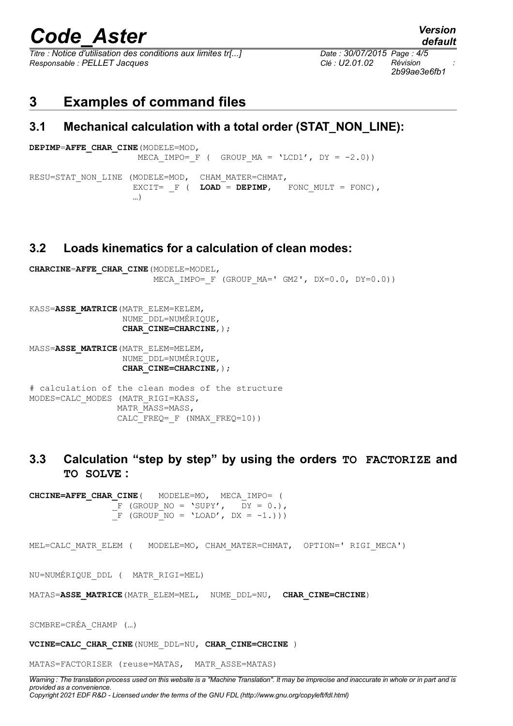# *Code\_Aster Version*

*Titre : Notice d'utilisation des conditions aux limites tr[...] Date : 30/07/2015 Page : 4/5 Responsable : PELLET Jacques Clé : U2.01.02 Révision :*

*2b99ae3e6fb1*

### **3 Examples of command files**

#### **3.1 Mechanical calculation with a total order (STAT\_NON\_LINE):**

```
DEPIMP=AFFE_CHAR_CINE(MODELE=MOD,
                  MECA IMPO= F ( GROUP MA = 'LCD1', DY = -2.0))
RESU=STAT_NON_LINE (MODELE=MOD, CHAM_MATER=CHMAT,
                 EXCIT= F ( LOAD = DEPIMP, FONC MULT = FONC),
 …)
```
#### **3.2 Loads kinematics for a calculation of clean modes:**

```
CHARCINE=AFFE_CHAR_CINE(MODELE=MODEL,
                        MECA IMPO= F (GROUP MA=' GM2', DX=0.0, DY=0.0))
KASS=ASSE MATRICE (MATR ELEM=KELEM,
                   NUME_DDL=NUMÉRIQUE,
                  CHAR CINE=CHARCINE, ) ;
MASS=ASSE_MATRICE(MATR_ELEM=MELEM,
                   NUME_DDL=NUMÉRIQUE,
                   CHAR_CINE=CHARCINE,);
# calculation of the clean modes of the structure
MODES=CALC_MODES (MATR_RIGI=KASS,
                 MATR MASS=MASS,
                 CALC_FREQ=_F (NMAX_FREQ=10))
```
### **3.3 Calculation "step by step" by using the orders TO FACTORIZE and TO SOLVE :**

**CHCINE=AFFE\_CHAR\_CINE**( MODELE=MO, MECA\_IMPO= (  $\overline{F}$  (GROUP NO = 'SUPY',  $\overline{D}Y = 0.$ ),  $\overline{F}$  (GROUP NO = 'LOAD', DX = -1.)))

MEL=CALC\_MATR\_ELEM ( MODELE=MO, CHAM\_MATER=CHMAT, OPTION=' RIGI\_MECA')

NU=NUMÉRIQUE\_DDL ( MATR\_RIGI=MEL)

MATAS=**ASSE\_MATRICE**(MATR\_ELEM=MEL, NUME\_DDL=NU, **CHAR\_CINE=CHCINE**)

SCMBRE=CRÉA\_CHAMP (…)

**VCINE=CALC\_CHAR\_CINE**(NUME\_DDL=NU, **CHAR\_CINE=CHCINE** )

MATAS=FACTORISER (reuse=MATAS, MATR\_ASSE=MATAS)

*Warning : The translation process used on this website is a "Machine Translation". It may be imprecise and inaccurate in whole or in part and is provided as a convenience. Copyright 2021 EDF R&D - Licensed under the terms of the GNU FDL (http://www.gnu.org/copyleft/fdl.html)*